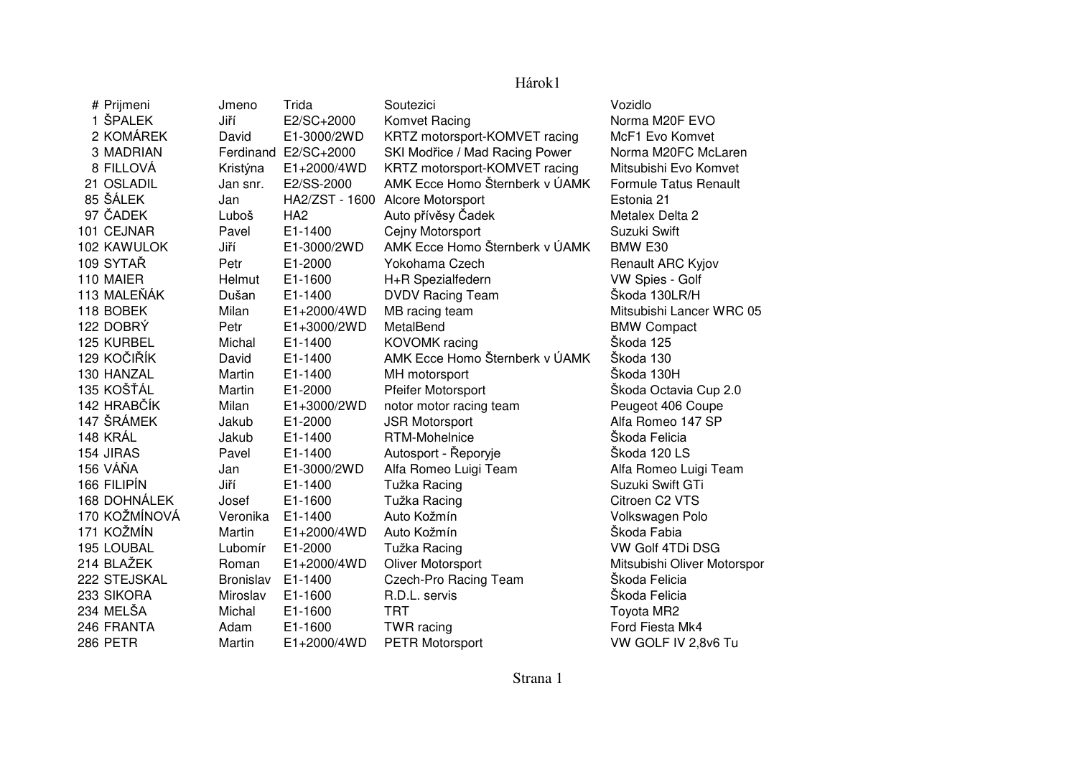## Hárok1

| # Prijmeni      | Jmeno            | Trida                | Soutezici                      | Vozidlo                      |
|-----------------|------------------|----------------------|--------------------------------|------------------------------|
| 1 ŠPALEK        | Jiří             | E2/SC+2000           | Komvet Racing                  | Norma M20F EVO               |
| 2 KOMÁREK       | David            | E1-3000/2WD          | KRTZ motorsport-KOMVET racing  | McF1 Evo Komvet              |
| 3 MADRIAN       |                  | Ferdinand E2/SC+2000 | SKI Modřice / Mad Racing Power | Norma M20FC McLaren          |
| 8 FILLOVÁ       | Kristýna         | E1+2000/4WD          | KRTZ motorsport-KOMVET racing  | Mitsubishi Evo Komvet        |
| 21 OSLADIL      | Jan snr.         | E2/SS-2000           | AMK Ecce Homo Šternberk v ÚAMK | <b>Formule Tatus Renault</b> |
| 85 ŠÁLEK        | Jan              | HA2/ZST - 1600       | Alcore Motorsport              | Estonia 21                   |
| 97 ČADEK        | Luboš            | HA <sub>2</sub>      | Auto přívěsy Čadek             | Metalex Delta 2              |
| 101 CEJNAR      | Pavel            | E1-1400              | Cejny Motorsport               | Suzuki Swift                 |
| 102 KAWULOK     | Jiří             | E1-3000/2WD          | AMK Ecce Homo Šternberk v ÚAMK | BMW E30                      |
| 109 SYTAŘ       | Petr             | E1-2000              | Yokohama Czech                 | Renault ARC Kyjov            |
| 110 MAIER       | Helmut           | E1-1600              | H+R Spezialfedern              | VW Spies - Golf              |
| 113 MALEŇÁK     | Dušan            | E1-1400              | <b>DVDV Racing Team</b>        | Škoda 130LR/H                |
| 118 BOBEK       | Milan            | E1+2000/4WD          | MB racing team                 | Mitsubishi Lancer WRC 05     |
| 122 DOBRÝ       | Petr             | E1+3000/2WD          | MetalBend                      | <b>BMW Compact</b>           |
| 125 KURBEL      | Michal           | E1-1400              | KOVOMK racing                  | Škoda 125                    |
| 129 KOČIŘÍK     | David            | E1-1400              | AMK Ecce Homo Šternberk v ÚAMK | Škoda 130                    |
| 130 HANZAL      | Martin           | E1-1400              | MH motorsport                  | Škoda 130H                   |
| 135 KOŠŤÁL      | Martin           | E1-2000              | Pfeifer Motorsport             | Škoda Octavia Cup 2.0        |
| 142 HRABČÍK     | Milan            | E1+3000/2WD          | notor motor racing team        | Peugeot 406 Coupe            |
| 147 ŠRÁMEK      | Jakub            | E1-2000              | <b>JSR Motorsport</b>          | Alfa Romeo 147 SP            |
| 148 KRÁL        | Jakub            | E1-1400              | RTM-Mohelnice                  | Škoda Felicia                |
| 154 JIRAS       | Pavel            | E1-1400              | Autosport - Řeporyje           | Škoda 120 LS                 |
| 156 VÁŇA        | Jan              | E1-3000/2WD          | Alfa Romeo Luigi Team          | Alfa Romeo Luigi Team        |
| 166 FILIPÍN     | Jiří             | E1-1400              | Tužka Racing                   | Suzuki Swift GTi             |
| 168 DOHNÁLEK    | Josef            | E1-1600              | Tužka Racing                   | Citroen C2 VTS               |
| 170 KOŽMÍNOVÁ   | Veronika         | E1-1400              | Auto Kožmín                    | Volkswagen Polo              |
| 171 KOŽMÍN      | Martin           | E1+2000/4WD          | Auto Kožmín                    | Škoda Fabia                  |
| 195 LOUBAL      | Lubomír          | E1-2000              | Tužka Racing                   | VW Golf 4TDi DSG             |
| 214 BLAŽEK      | Roman            | E1+2000/4WD          | Oliver Motorsport              | Mitsubishi Oliver Motorspor  |
| 222 STEJSKAL    | <b>Bronislav</b> | E1-1400              | <b>Czech-Pro Racing Team</b>   | Skoda Felicia                |
| 233 SIKORA      | Miroslav         | E1-1600              | R.D.L. servis                  | Škoda Felicia                |
| 234 MELŠA       | Michal           | E1-1600              | <b>TRT</b>                     | Toyota MR2                   |
| 246 FRANTA      | Adam             | E1-1600              | TWR racing                     | Ford Fiesta Mk4              |
| <b>286 PETR</b> | Martin           | E1+2000/4WD          | PETR Motorsport                | VW GOLF IV 2,8v6 Tu          |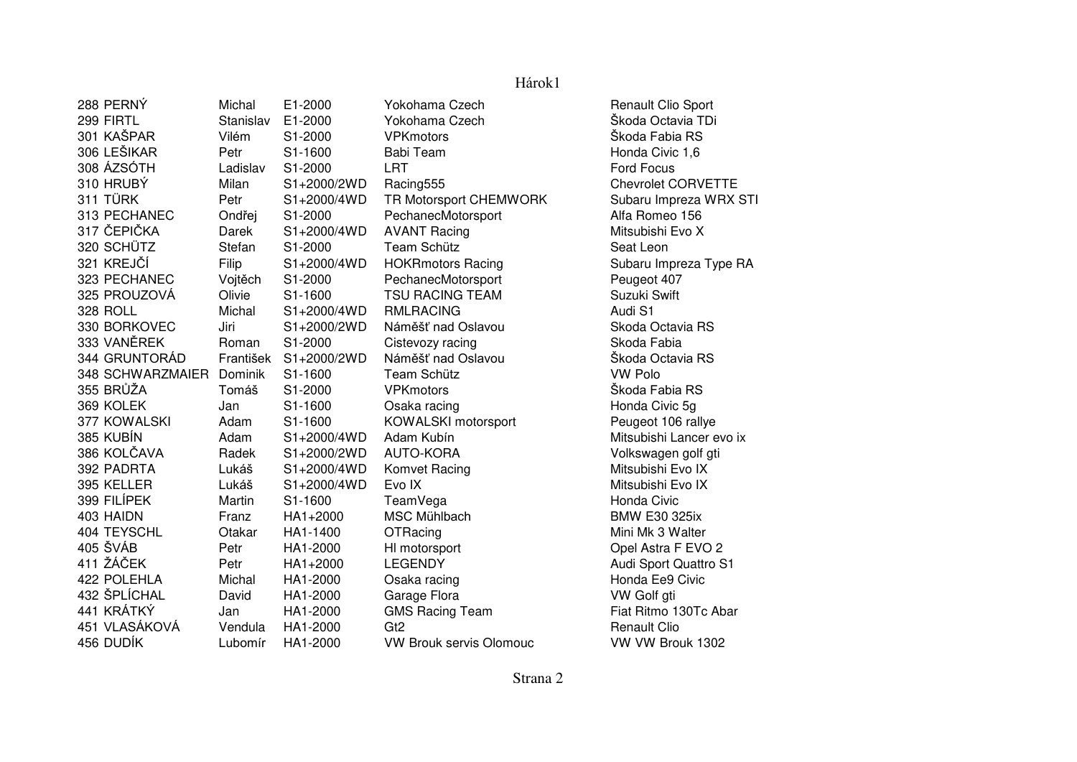| 288 PERNÝ        | Michal    | E1-2000     | Yokohama Czech                 | Renault Clio Sport        |
|------------------|-----------|-------------|--------------------------------|---------------------------|
| 299 FIRTL        | Stanislav | E1-2000     | Yokohama Czech                 | Škoda Octavia TDi         |
| 301 KAŠPAR       | Vilém     | S1-2000     | <b>VPKmotors</b>               | Škoda Fabia RS            |
| 306 LEŠIKAR      | Petr      | S1-1600     | <b>Babi Team</b>               | Honda Civic 1,6           |
| 308 ÁZSÓTH       | Ladislav  | S1-2000     | LRT                            | <b>Ford Focus</b>         |
| 310 HRUBÝ        | Milan     | S1+2000/2WD | Racing555                      | <b>Chevrolet CORVETTE</b> |
| 311 TÜRK         | Petr      | S1+2000/4WD | TR Motorsport CHEMWORK         | Subaru Impreza WRX STI    |
| 313 PECHANEC     | Ondřej    | S1-2000     | PechanecMotorsport             | Alfa Romeo 156            |
| 317 ČEPIČKA      | Darek     | S1+2000/4WD | <b>AVANT Racing</b>            | Mitsubishi Evo X          |
| 320 SCHÜTZ       | Stefan    | S1-2000     | Team Schütz                    | Seat Leon                 |
| 321 KREJČÍ       | Filip     | S1+2000/4WD | <b>HOKRmotors Racing</b>       | Subaru Impreza Type RA    |
| 323 PECHANEC     | Vojtěch   | S1-2000     | PechanecMotorsport             | Peugeot 407               |
| 325 PROUZOVÁ     | Olivie    | S1-1600     | <b>TSU RACING TEAM</b>         | Suzuki Swift              |
| 328 ROLL         | Michal    | S1+2000/4WD | <b>RMLRACING</b>               | Audi S1                   |
| 330 BORKOVEC     | Jiri      | S1+2000/2WD | Náměšť nad Oslavou             | Skoda Octavia RS          |
| 333 VANĚREK      | Roman     | S1-2000     | Cistevozy racing               | Skoda Fabia               |
| 344 GRUNTORÁD    | František | S1+2000/2WD | Náměšť nad Oslavou             | Škoda Octavia RS          |
| 348 SCHWARZMAIER | Dominik   | S1-1600     | Team Schütz                    | <b>VW Polo</b>            |
| 355 BRŮŽA        | Tomáš     | S1-2000     | <b>VPKmotors</b>               | Škoda Fabia RS            |
| 369 KOLEK        | Jan       | S1-1600     | Osaka racing                   | Honda Civic 5g            |
| 377 KOWALSKI     | Adam      | S1-1600     | KOWALSKI motorsport            | Peugeot 106 rallye        |
| 385 KUBÍN        | Adam      | S1+2000/4WD | Adam Kubín                     | Mitsubishi Lancer evo ix  |
| 386 KOLČAVA      | Radek     | S1+2000/2WD | <b>AUTO-KORA</b>               | Volkswagen golf gti       |
| 392 PADRTA       | Lukáš     | S1+2000/4WD | Komvet Racing                  | Mitsubishi Evo IX         |
| 395 KELLER       | Lukáš     | S1+2000/4WD | Evo IX                         | Mitsubishi Evo IX         |
| 399 FILÍPEK      | Martin    | S1-1600     | TeamVega                       | Honda Civic               |
| 403 HAIDN        | Franz     | HA1+2000    | <b>MSC Mühlbach</b>            | <b>BMW E30 325ix</b>      |
| 404 TEYSCHL      | Otakar    | HA1-1400    | OTRacing                       | Mini Mk 3 Walter          |
| 405 ŠVÁB         | Petr      | HA1-2000    | HI motorsport                  | Opel Astra F EVO 2        |
| 411 ŽÁČEK        | Petr      | HA1+2000    | <b>LEGENDY</b>                 | Audi Sport Quattro S1     |
| 422 POLEHLA      | Michal    | HA1-2000    | Osaka racing                   | Honda Ee9 Civic           |
| 432 ŠPLÍCHAL     | David     | HA1-2000    | Garage Flora                   | VW Golf gti               |
| 441 KRÁTKÝ       | Jan       | HA1-2000    | <b>GMS Racing Team</b>         | Fiat Ritmo 130Tc Abar     |
| 451 VLASÁKOVÁ    | Vendula   | HA1-2000    | G <sub>t2</sub>                | <b>Renault Clio</b>       |
| 456 DUDÍK        | Lubomír   | HA1-2000    | <b>VW Brouk servis Olomouc</b> | VW VW Brouk 1302          |

## Hárok1

Strana 2